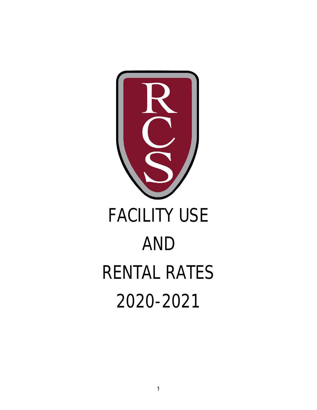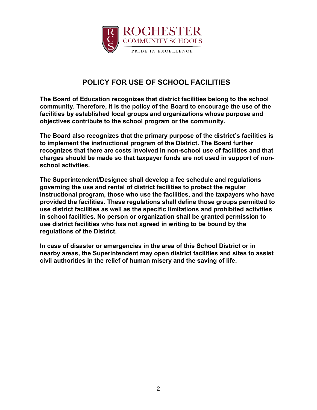

# **POLICY FOR USE OF SCHOOL FACILITIES**

**The Board of Education recognizes that district facilities belong to the school community. Therefore, it is the policy of the Board to encourage the use of the facilities by established local groups and organizations whose purpose and objectives contribute to the school program or the community.**

**The Board also recognizes that the primary purpose of the district's facilities is to implement the instructional program of the District. The Board further recognizes that there are costs involved in non-school use of facilities and that charges should be made so that taxpayer funds are not used in support of nonschool activities.**

**The Superintendent/Designee shall develop a fee schedule and regulations governing the use and rental of district facilities to protect the regular instructional program, those who use the facilities, and the taxpayers who have provided the facilities. These regulations shall define those groups permitted to use district facilities as well as the specific limitations and prohibited activities in school facilities. No person or organization shall be granted permission to use district facilities who has not agreed in writing to be bound by the regulations of the District.**

**In case of disaster or emergencies in the area of this School District or in nearby areas, the Superintendent may open district facilities and sites to assist civil authorities in the relief of human misery and the saving of life.**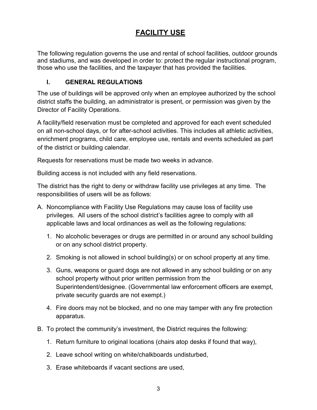## **FACILITY USE**

The following regulation governs the use and rental of school facilities, outdoor grounds and stadiums, and was developed in order to: protect the regular instructional program, those who use the facilities, and the taxpayer that has provided the facilities.

#### **I. GENERAL REGULATIONS**

The use of buildings will be approved only when an employee authorized by the school district staffs the building, an administrator is present, or permission was given by the Director of Facility Operations.

A facility/field reservation must be completed and approved for each event scheduled on all non-school days, or for after-school activities. This includes all athletic activities, enrichment programs, child care, employee use, rentals and events scheduled as part of the district or building calendar.

Requests for reservations must be made two weeks in advance.

Building access is not included with any field reservations.

The district has the right to deny or withdraw facility use privileges at any time. The responsibilities of users will be as follows:

- A. Noncompliance with Facility Use Regulations may cause loss of facility use privileges. All users of the school district's facilities agree to comply with all applicable laws and local ordinances as well as the following regulations:
	- 1. No alcoholic beverages or drugs are permitted in or around any school building or on any school district property.
	- 2. Smoking is not allowed in school building(s) or on school property at any time.
	- 3. Guns, weapons or guard dogs are not allowed in any school building or on any school property without prior written permission from the Superintendent/designee. (Governmental law enforcement officers are exempt, private security guards are not exempt.)
	- 4. Fire doors may not be blocked, and no one may tamper with any fire protection apparatus.
- B. To protect the community's investment, the District requires the following:
	- 1. Return furniture to original locations (chairs atop desks if found that way),
	- 2. Leave school writing on white/chalkboards undisturbed,
	- 3. Erase whiteboards if vacant sections are used,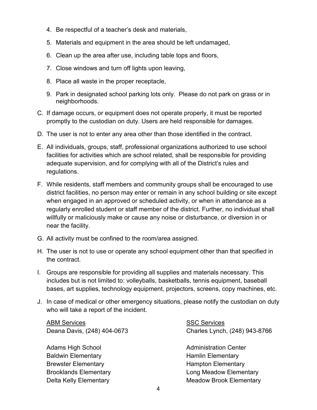- 4. Be respectful of a teacher's desk and materials,
- 5. Materials and equipment in the area should be left undamaged,
- 6. Clean up the area after use, including table tops and floors,
- 7. Close windows and turn off lights upon leaving,
- 8. Place all waste in the proper receptacle,
- 9. Park in designated school parking lots only. Please do not park on grass or in neighborhoods.
- C. If damage occurs, or equipment does not operate properly, it must be reported promptly to the custodian on duty. Users are held responsible for damages.
- D. The user is not to enter any area other than those identified in the contract.
- E. All individuals, groups, staff, professional organizations authorized to use school facilities for activities which are school related, shall be responsible for providing adequate supervision, and for complying with all of the District's rules and regulations.
- F. While residents, staff members and community groups shall be encouraged to use district facilities, no person may enter or remain in any school building or site except when engaged in an approved or scheduled activity, or when in attendance as a regularly enrolled student or staff member of the district. Further, no individual shall willfully or maliciously make or cause any noise or disturbance, or diversion in or near the facility.
- G. All activity must be confined to the room/area assigned.
- H. The user is not to use or operate any school equipment other than that specified in the contract.
- I. Groups are responsible for providing all supplies and materials necessary. This includes but is not limited to: volleyballs, basketballs, tennis equipment, baseball bases, art supplies, technology equipment, projectors, screens, copy machines, etc.
- J. In case of medical or other emergency situations, please notify the custodian on duty who will take a report of the incident.

ABM Services and the state of the SSC Services

Adams High School **Administration Center** Administration Center Baldwin Elementary **Elementary Hamlin Elementary** Brewster Elementary **Exercise Elementary Hampton Elementary** 

Deana Davis, (248) 404-0673 Charles Lynch, (248) 943-8766

Brooklands Elementary **Long Meadow Elementary** Delta Kelly Elementary **Meadow Brook Elementary**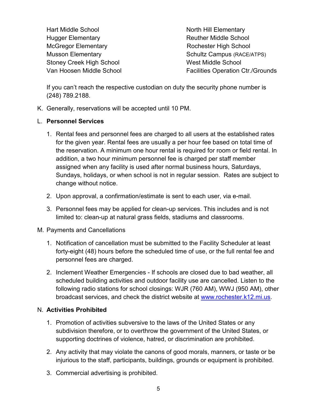Hart Middle School North Hill Elementary Hugger Elementary **Reuther Middle School** McGregor Elementary **Rochester High School** Stoney Creek High School West Middle School

Musson Elementary Nusson Elementary Schultz Campus (RACE/ATPS) Van Hoosen Middle School **Facilities Operation Ctr./Grounds** 

If you can't reach the respective custodian on duty the security phone number is (248) 789.2188.

K. Generally, reservations will be accepted until 10 PM.

### L. **Personnel Services**

- 1. Rental fees and personnel fees are charged to all users at the established rates for the given year. Rental fees are usually a per hour fee based on total time of the reservation. A minimum one hour rental is required for room or field rental. In addition, a two hour minimum personnel fee is charged per staff member assigned when any facility is used after normal business hours, Saturdays, Sundays, holidays, or when school is not in regular session. Rates are subject to change without notice.
- 2. Upon approval, a confirmation/estimate is sent to each user, via e-mail.
- 3. Personnel fees may be applied for clean-up services. This includes and is not limited to: clean-up at natural grass fields, stadiums and classrooms.

#### M. Payments and Cancellations

- 1. Notification of cancellation must be submitted to the Facility Scheduler at least forty-eight (48) hours before the scheduled time of use, or the full rental fee and personnel fees are charged.
- 2. Inclement Weather Emergencies If schools are closed due to bad weather, all scheduled building activities and outdoor facility use are cancelled. Listen to the following radio stations for school closings: WJR (760 AM), WWJ (950 AM), other broadcast services, and check the district website at [www.rochester.k12.mi.us.](http://www.rochester.k12.mi.us/)

## N. **Activities Prohibited**

- 1. Promotion of activities subversive to the laws of the United States or any subdivision therefore, or to overthrow the government of the United States, or supporting doctrines of violence, hatred, or discrimination are prohibited.
- 2. Any activity that may violate the canons of good morals, manners, or taste or be injurious to the staff, participants, buildings, grounds or equipment is prohibited.
- 3. Commercial advertising is prohibited.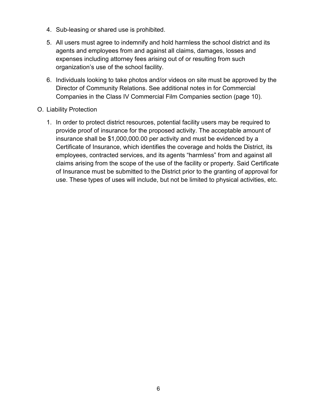- 4. Sub-leasing or shared use is prohibited.
- 5. All users must agree to indemnify and hold harmless the school district and its agents and employees from and against all claims, damages, losses and expenses including attorney fees arising out of or resulting from such organization's use of the school facility.
- 6. Individuals looking to take photos and/or videos on site must be approved by the Director of Community Relations. See additional notes in for Commercial Companies in the Class IV Commercial Film Companies section (page 10).

#### O. Liability Protection

1. In order to protect district resources, potential facility users may be required to provide proof of insurance for the proposed activity. The acceptable amount of insurance shall be \$1,000,000.00 per activity and must be evidenced by a Certificate of Insurance, which identifies the coverage and holds the District, its employees, contracted services, and its agents "harmless" from and against all claims arising from the scope of the use of the facility or property. Said Certificate of Insurance must be submitted to the District prior to the granting of approval for use. These types of uses will include, but not be limited to physical activities, etc.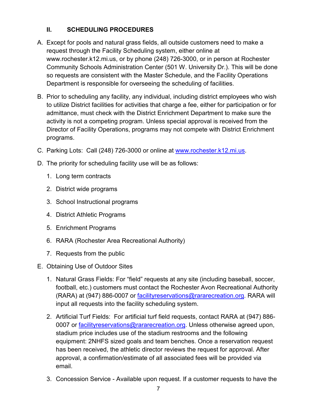## **II. SCHEDULING PROCEDURES**

- A. Except for pools and natural grass fields, all outside customers need to make a request through the Facility Scheduling system, either online at www.rochester.k12.mi.us, or by phone (248) 726-3000, or in person at Rochester Community Schools Administration Center (501 W. University Dr.). This will be done so requests are consistent with the Master Schedule, and the Facility Operations Department is responsible for overseeing the scheduling of facilities.
- B. Prior to scheduling any facility, any individual, including district employees who wish to utilize District facilities for activities that charge a fee, either for participation or for admittance, must check with the District Enrichment Department to make sure the activity is not a competing program. Unless special approval is received from the Director of Facility Operations, programs may not compete with District Enrichment programs.
- C. Parking Lots: Call (248) 726-3000 or online at [www.rochester.k12.mi.us.](https://www.rochester.k12.mi.us/pages/364/facility-reservations)
- D. The priority for scheduling facility use will be as follows:
	- 1. Long term contracts
	- 2. District wide programs
	- 3. School Instructional programs
	- 4. District Athletic Programs
	- 5. Enrichment Programs
	- 6. RARA (Rochester Area Recreational Authority)
	- 7. Requests from the public
- E. Obtaining Use of Outdoor Sites
	- 1. Natural Grass Fields: For "field" requests at any site (including baseball, soccer, football, etc.) customers must contact the Rochester Avon Recreational Authority (RARA) at (947) 886-0007 or [facilityreservations@rararecreation.org.](mailto:facilityreservations@rararecreation.org) RARA will input all requests into the facility scheduling system.
	- 2. Artificial Turf Fields: For artificial turf field requests, contact RARA at (947) 886 0007 or [facilityreservations@rararecreation.org.](mailto:facilityreservations@rararecreation.org) Unless otherwise agreed upon, stadium price includes use of the stadium restrooms and the following equipment: 2NHFS sized goals and team benches. Once a reservation request has been received, the athletic director reviews the request for approval. After approval, a confirmation/estimate of all associated fees will be provided via email.
	- 3. Concession Service Available upon request. If a customer requests to have the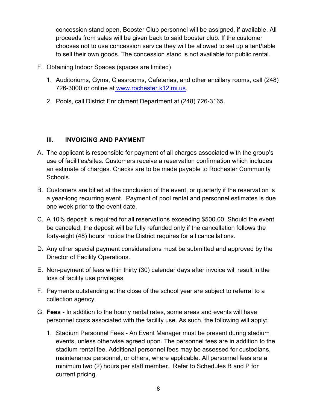concession stand open, Booster Club personnel will be assigned, if available. All proceeds from sales will be given back to said booster club. If the customer chooses not to use concession service they will be allowed to set up a tent/table to sell their own goods. The concession stand is not available for public rental.

- F. Obtaining Indoor Spaces (spaces are limited)
	- 1. Auditoriums, Gyms, Classrooms, Cafeterias, and other ancillary rooms, call (248) 726-3000 or online at [www.rochester.k12.mi.us.](https://www.rochester.k12.mi.us/pages/364/facility-reservations)
	- 2. Pools, call District Enrichment Department at (248) 726-3165.

#### **III. INVOICING AND PAYMENT**

- A. The applicant is responsible for payment of all charges associated with the group's use of facilities/sites. Customers receive a reservation confirmation which includes an estimate of charges. Checks are to be made payable to Rochester Community Schools.
- B. Customers are billed at the conclusion of the event, or quarterly if the reservation is a year-long recurring event. Payment of pool rental and personnel estimates is due one week prior to the event date.
- C. A 10% deposit is required for all reservations exceeding \$500.00. Should the event be canceled, the deposit will be fully refunded only if the cancellation follows the forty-eight (48) hours' notice the District requires for all cancellations.
- D. Any other special payment considerations must be submitted and approved by the Director of Facility Operations.
- E. Non-payment of fees within thirty (30) calendar days after invoice will result in the loss of facility use privileges.
- F. Payments outstanding at the close of the school year are subject to referral to a collection agency.
- G. **Fees** In addition to the hourly rental rates, some areas and events will have personnel costs associated with the facility use. As such, the following will apply:
	- 1. Stadium Personnel Fees An Event Manager must be present during stadium events, unless otherwise agreed upon. The personnel fees are in addition to the stadium rental fee. Additional personnel fees may be assessed for custodians, maintenance personnel, or others, where applicable. All personnel fees are a minimum two (2) hours per staff member. Refer to Schedules B and P for current pricing.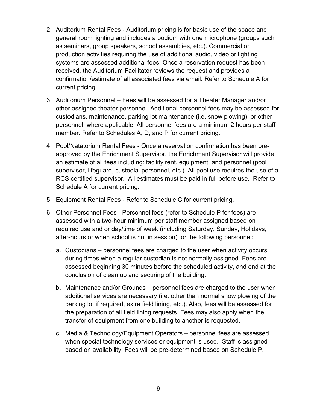- 2. Auditorium Rental Fees Auditorium pricing is for basic use of the space and general room lighting and includes a podium with one microphone (groups such as seminars, group speakers, school assemblies, etc.). Commercial or production activities requiring the use of additional audio, video or lighting systems are assessed additional fees. Once a reservation request has been received, the Auditorium Facilitator reviews the request and provides a confirmation/estimate of all associated fees via email. Refer to Schedule A for current pricing.
- 3. Auditorium Personnel Fees will be assessed for a Theater Manager and/or other assigned theater personnel. Additional personnel fees may be assessed for custodians, maintenance, parking lot maintenance (i.e. snow plowing), or other personnel, where applicable. All personnel fees are a minimum 2 hours per staff member. Refer to Schedules A, D, and P for current pricing.
- 4. Pool/Natatorium Rental Fees Once a reservation confirmation has been preapproved by the Enrichment Supervisor, the Enrichment Supervisor will provide an estimate of all fees including: facility rent, equipment, and personnel (pool supervisor, lifeguard, custodial personnel, etc.). All pool use requires the use of a RCS certified supervisor. All estimates must be paid in full before use. Refer to Schedule A for current pricing.
- 5. Equipment Rental Fees Refer to Schedule C for current pricing.
- 6. Other Personnel Fees Personnel fees (refer to Schedule P for fees) are assessed with a two-hour minimum per staff member assigned based on required use and or day/time of week (including Saturday, Sunday, Holidays, after-hours or when school is not in session) for the following personnel:
	- a. Custodians personnel fees are charged to the user when activity occurs during times when a regular custodian is not normally assigned. Fees are assessed beginning 30 minutes before the scheduled activity, and end at the conclusion of clean up and securing of the building.
	- b. Maintenance and/or Grounds personnel fees are charged to the user when additional services are necessary (i.e. other than normal snow plowing of the parking lot if required, extra field lining, etc.). Also, fees will be assessed for the preparation of all field lining requests. Fees may also apply when the transfer of equipment from one building to another is requested.
	- c. Media & Technology/Equipment Operators personnel fees are assessed when special technology services or equipment is used. Staff is assigned based on availability. Fees will be pre-determined based on Schedule P.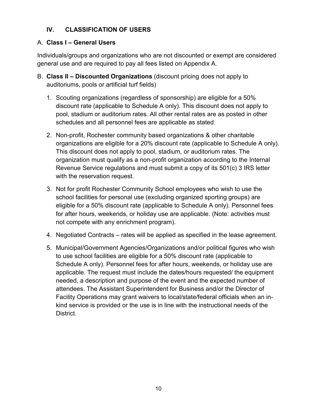## **IV. CLASSIFICATION OF USERS**

### A. **Class I – General Users**

Individuals/groups and organizations who are not discounted or exempt are considered general use and are required to pay all fees listed on Appendix A.

- B. **Class II – Discounted Organizations** (discount pricing does not apply to auditoriums, pools or artificial turf fields)
	- 1. Scouting organizations (regardless of sponsorship) are eligible for a 50% discount rate (applicable to Schedule A only). This discount does not apply to pool, stadium or auditorium rates. All other rental rates are as posted in other schedules and all personnel fees are applicable as stated.
	- 2. Non-profit, Rochester community based organizations & other charitable organizations are eligible for a 20% discount rate (applicable to Schedule A only). This discount does not apply to pool, stadium, or auditorium rates. The organization must qualify as a non-profit organization according to the Internal Revenue Service regulations and must submit a copy of its 501(c) 3 IRS letter with the reservation request.
	- 3. Not for profit Rochester Community School employees who wish to use the school facilities for personal use (excluding organized sporting groups) are eligible for a 50% discount rate (applicable to Schedule A only). Personnel fees for after hours, weekends, or holiday use are applicable. (Note: activities must not compete with any enrichment program).
	- 4. Negotiated Contracts rates will be applied as specified in the lease agreement.
	- 5. Municipal/Government Agencies/Organizations and/or political figures who wish to use school facilities are eligible for a 50% discount rate (applicable to Schedule A only). Personnel fees for after hours, weekends, or holiday use are applicable. The request must include the dates/hours requested/ the equipment needed, a description and purpose of the event and the expected number of attendees. The Assistant Superintendent for Business and/or the Director of Facility Operations may grant waivers to local/state/federal officials when an inkind service is provided or the use is in line with the instructional needs of the District.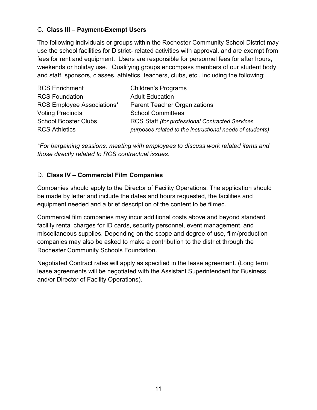### C. **Class III – Payment-Exempt Users**

The following individuals or groups within the Rochester Community School District may use the school facilities for District- related activities with approval, and are exempt from fees for rent and equipment. Users are responsible for personnel fees for after hours, weekends or holiday use. Qualifying groups encompass members of our student body and staff, sponsors, classes, athletics, teachers, clubs, etc., including the following:

| <b>RCS Enrichment</b>             | <b>Children's Programs</b>                               |
|-----------------------------------|----------------------------------------------------------|
| <b>RCS Foundation</b>             | <b>Adult Education</b>                                   |
| <b>RCS Employee Associations*</b> | <b>Parent Teacher Organizations</b>                      |
| <b>Voting Precincts</b>           | <b>School Committees</b>                                 |
| <b>School Booster Clubs</b>       | RCS Staff (for professional Contracted Services          |
| <b>RCS Athletics</b>              | purposes related to the instructional needs of students) |

*\*For bargaining sessions, meeting with employees to discuss work related items and those directly related to RCS contractual issues.*

## D. **Class IV – Commercial Film Companies**

Companies should apply to the Director of Facility Operations. The application should be made by letter and include the dates and hours requested, the facilities and equipment needed and a brief description of the content to be filmed.

Commercial film companies may incur additional costs above and beyond standard facility rental charges for ID cards, security personnel, event management, and miscellaneous supplies. Depending on the scope and degree of use, film/production companies may also be asked to make a contribution to the district through the Rochester Community Schools Foundation.

Negotiated Contract rates will apply as specified in the lease agreement. (Long term lease agreements will be negotiated with the Assistant Superintendent for Business and/or Director of Facility Operations).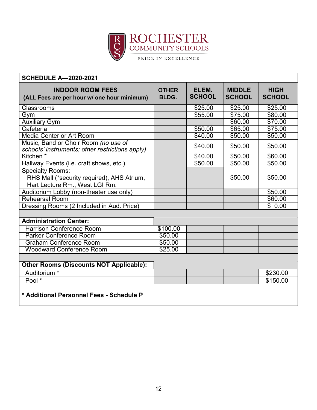

| <b>SCHEDULE A-2020-2021</b>                                                                             |                       |                        |                                |                              |
|---------------------------------------------------------------------------------------------------------|-----------------------|------------------------|--------------------------------|------------------------------|
| <b>INDOOR ROOM FEES</b><br>(ALL Fees are per hour w/ one hour minimum)                                  | <b>OTHER</b><br>BLDG. | ELEM.<br><b>SCHOOL</b> | <b>MIDDLE</b><br><b>SCHOOL</b> | <b>HIGH</b><br><b>SCHOOL</b> |
| Classrooms                                                                                              |                       | \$25.00                | \$25.00                        | \$25.00                      |
| Gym                                                                                                     |                       | \$55.00                | \$75.00                        | \$80.00                      |
| <b>Auxiliary Gym</b>                                                                                    |                       |                        | \$60.00                        | \$70.00                      |
| Cafeteria                                                                                               |                       | \$50.00                | \$65.00                        | $\overline{$}75.00$          |
| <b>Media Center or Art Room</b>                                                                         |                       | \$40.00                | \$50.00                        | \$50.00                      |
| Music, Band or Choir Room (no use of<br>schools' instruments; other restrictions apply)                 |                       | \$40.00                | \$50.00                        | \$50.00                      |
| Kitchen <sup>*</sup>                                                                                    |                       | \$40.00                | \$50.00                        | \$60.00                      |
| Hallway Events (i.e. craft shows, etc.)                                                                 |                       | \$50.00                | \$50.00                        | \$50.00                      |
| <b>Specialty Rooms:</b><br>RHS Mall (*security required), AHS Atrium,<br>Hart Lecture Rm., West LGI Rm. |                       |                        | \$50.00                        | \$50.00                      |
| Auditorium Lobby (non-theater use only)                                                                 |                       |                        |                                | \$50.00                      |
| <b>Rehearsal Room</b>                                                                                   |                       |                        |                                | \$60.00                      |
| Dressing Rooms (2 Included in Aud. Price)                                                               |                       |                        |                                | \$0.00                       |
| <b>Administration Center:</b>                                                                           |                       |                        |                                |                              |
| <b>Harrison Conference Room</b>                                                                         | \$100.00              |                        |                                |                              |
| <b>Parker Conference Room</b>                                                                           | \$50.00               |                        |                                |                              |
| <b>Graham Conference Room</b>                                                                           | \$50.00               |                        |                                |                              |
| <b>Woodward Conference Room</b>                                                                         | \$25.00               |                        |                                |                              |
|                                                                                                         |                       |                        |                                |                              |
| <b>Other Rooms (Discounts NOT Applicable):</b>                                                          |                       |                        |                                |                              |
| Auditorium <sup>*</sup>                                                                                 |                       |                        |                                | \$230.00                     |
| Pool *                                                                                                  |                       |                        |                                | \$150.00                     |
| * Additional Personnel Fees - Schedule P                                                                |                       |                        |                                |                              |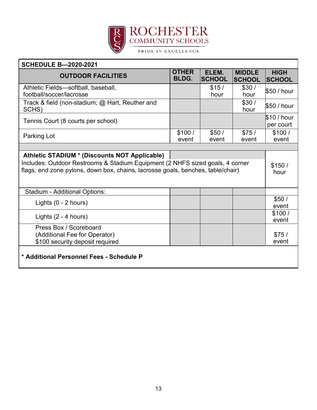

| <b>SCHEDULE B-2020-2021</b>                                                                                                                                                                                       |                              |                        |                                |                              |
|-------------------------------------------------------------------------------------------------------------------------------------------------------------------------------------------------------------------|------------------------------|------------------------|--------------------------------|------------------------------|
| <b>OUTDOOR FACILITIES</b>                                                                                                                                                                                         | <b>OTHER</b><br><b>BLDG.</b> | ELEM.<br><b>SCHOOL</b> | <b>MIDDLE</b><br><b>SCHOOL</b> | <b>HIGH</b><br><b>SCHOOL</b> |
| Athletic Fields-softball, baseball,<br>football/soccer/lacrosse                                                                                                                                                   |                              | \$15/<br>hour          | \$30/<br>hour                  | \$50 / hour                  |
| Track & field (non-stadium; @ Hart, Reuther and<br>SCHS)                                                                                                                                                          |                              |                        | \$30/<br>hour                  | \$50 / hour                  |
| Tennis Court (8 courts per school)                                                                                                                                                                                |                              |                        |                                | \$10/hour<br>per court       |
| Parking Lot                                                                                                                                                                                                       | \$100/<br>event              | \$50/<br>event         | \$75/<br>event                 | \$100/<br>event              |
|                                                                                                                                                                                                                   |                              |                        |                                |                              |
| Athletic STADIUM * (Discounts NOT Applicable)<br>Includes: Outdoor Restrooms & Stadium Equipment (2 NHFS sized goals, 4 corner<br>flags, end zone pylons, down box, chains, lacrosse goals, benches, table/chair) |                              |                        | \$150/<br>hour                 |                              |
| <b>Stadium - Additional Options:</b>                                                                                                                                                                              |                              |                        |                                |                              |
| Lights $(0 - 2$ hours)                                                                                                                                                                                            |                              |                        |                                | \$50/<br>event               |
| Lights $(2 - 4$ hours)                                                                                                                                                                                            |                              |                        |                                | \$100/<br>event              |
| Press Box / Scoreboard<br>(Additional Fee for Operator)<br>\$100 security deposit required                                                                                                                        |                              |                        |                                | \$75/<br>event               |
| * Additional Personnel Fees - Schedule P                                                                                                                                                                          |                              |                        |                                |                              |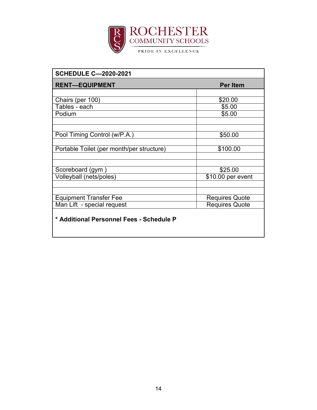

| <b>SCHEDULE C-2020-2021</b>               |                       |
|-------------------------------------------|-----------------------|
| <b>RENT-EQUIPMENT</b>                     | <b>Per Item</b>       |
|                                           |                       |
| Chairs (per 100)                          | \$20.00               |
| Tables - each                             | \$5.00                |
| Podium                                    | \$5.00                |
|                                           |                       |
|                                           |                       |
| Pool Timing Control (w/P.A.)              | \$50.00               |
|                                           |                       |
| Portable Toilet (per month/per structure) | \$100.00              |
|                                           |                       |
|                                           |                       |
| Scoreboard (gym                           | \$25.00               |
| Volleyball (nets/poles)                   | \$10.00 per event     |
|                                           |                       |
|                                           |                       |
| <b>Equipment Transfer Fee</b>             | <b>Requires Quote</b> |
| Man Lift - special request                | <b>Requires Quote</b> |
| * Additional Personnel Fees - Schedule P  |                       |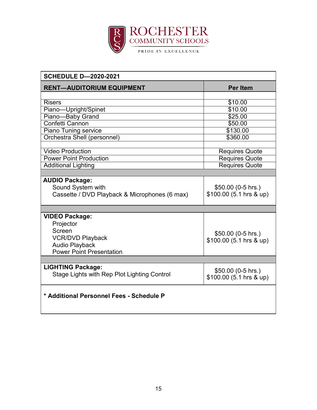

| <b>SCHEDULE D-2020-2021</b>                                                                                                         |                                                |
|-------------------------------------------------------------------------------------------------------------------------------------|------------------------------------------------|
| <b>RENT-AUDITORIUM EQUIPMENT</b>                                                                                                    | <b>Per Item</b>                                |
|                                                                                                                                     |                                                |
| <b>Risers</b>                                                                                                                       | \$10.00                                        |
| Piano-Upright/Spinet                                                                                                                | $\overline{$}10.00$                            |
| Piano-Baby Grand                                                                                                                    | $\overline{$}25.00$                            |
| <b>Confetti Cannon</b>                                                                                                              | \$50.00                                        |
| <b>Piano Tuning service</b>                                                                                                         | \$130.00                                       |
| Orchestra Shell (personnel)                                                                                                         | \$360.00                                       |
|                                                                                                                                     |                                                |
| <b>Video Production</b>                                                                                                             | <b>Requires Quote</b>                          |
| <b>Power Point Production</b>                                                                                                       | <b>Requires Quote</b>                          |
| <b>Additional Lighting</b>                                                                                                          | <b>Requires Quote</b>                          |
|                                                                                                                                     |                                                |
| <b>AUDIO Package:</b><br>Sound System with<br>Cassette / DVD Playback & Microphones (6 max)                                         | \$50.00 (0-5 hrs.)<br>$$100.00(5.1)$ hrs & up) |
|                                                                                                                                     |                                                |
| <b>VIDEO Package:</b><br>Projector<br>Screen<br><b>VCR/DVD Playback</b><br><b>Audio Playback</b><br><b>Power Point Presentation</b> | \$50.00 (0-5 hrs.)<br>\$100.00 (5.1 hrs & up)  |
|                                                                                                                                     |                                                |
| <b>LIGHTING Package:</b><br>Stage Lights with Rep Plot Lighting Control                                                             | \$50.00 (0-5 hrs.)<br>\$100.00 (5.1 hrs & up)  |
| * Additional Personnel Fees - Schedule P                                                                                            |                                                |